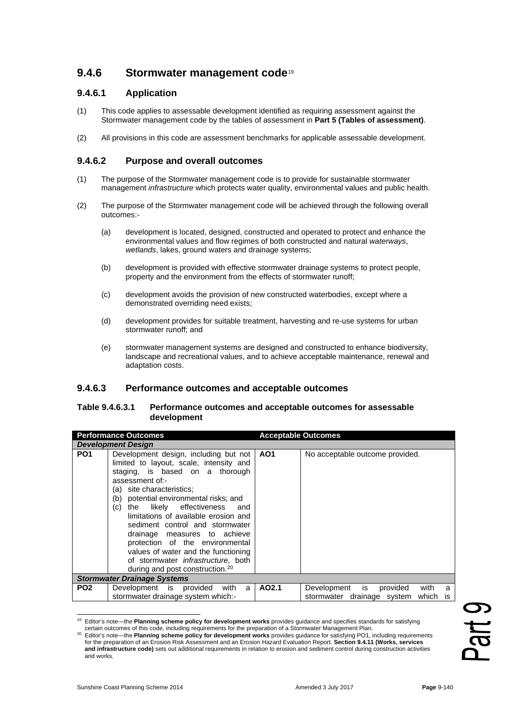# **9.4.6 Stormwater management code**[19](#page-0-0)

## **9.4.6.1 Application**

- (1) This code applies to assessable development identified as requiring assessment against the Stormwater management code by the tables of assessment in **Part 5 (Tables of assessment)**.
- (2) All provisions in this code are assessment benchmarks for applicable assessable development.

### **9.4.6.2 Purpose and overall outcomes**

- (1) The purpose of the Stormwater management code is to provide for sustainable stormwater management *infrastructure* which protects water quality, environmental values and public health.
- (2) The purpose of the Stormwater management code will be achieved through the following overall outcomes:-
	- (a) development is located, designed, constructed and operated to protect and enhance the environmental values and flow regimes of both constructed and natural *waterways*, *wetlands*, lakes, ground waters and drainage systems;
	- (b) development is provided with effective stormwater drainage systems to protect people, property and the environment from the effects of stormwater runoff;
	- (c) development avoids the provision of new constructed waterbodies, except where a demonstrated overriding need exists;
	- (d) development provides for suitable treatment, harvesting and re-use systems for urban stormwater runoff; and
	- (e) stormwater management systems are designed and constructed to enhance biodiversity, landscape and recreational values, and to achieve acceptable maintenance, renewal and adaptation costs.

#### **9.4.6.3 Performance outcomes and acceptable outcomes**

#### **Table 9.4.6.3.1 Performance outcomes and acceptable outcomes for assessable development**

| <b>Development Design</b><br>Development design, including but not<br>limited to layout, scale, intensity and<br>staging, is based on a thorough<br>assessment of:-                                                                                                                                                                                                                       | AO <sub>1</sub>                                                                                                                                                  | No acceptable outcome provided.                                                                                                                                                                                                                                                                                                                                                             |
|-------------------------------------------------------------------------------------------------------------------------------------------------------------------------------------------------------------------------------------------------------------------------------------------------------------------------------------------------------------------------------------------|------------------------------------------------------------------------------------------------------------------------------------------------------------------|---------------------------------------------------------------------------------------------------------------------------------------------------------------------------------------------------------------------------------------------------------------------------------------------------------------------------------------------------------------------------------------------|
|                                                                                                                                                                                                                                                                                                                                                                                           |                                                                                                                                                                  |                                                                                                                                                                                                                                                                                                                                                                                             |
| (a) site characteristics;<br>(b) potential environmental risks; and<br>likely effectiveness<br>(c)<br>and<br>the<br>limitations of available erosion and<br>sediment control and stormwater<br>drainage measures to achieve<br>protection of the environmental<br>values of water and the functioning<br>of stormwater <i>infrastructure</i> , both<br>during and post construction. $20$ |                                                                                                                                                                  |                                                                                                                                                                                                                                                                                                                                                                                             |
|                                                                                                                                                                                                                                                                                                                                                                                           |                                                                                                                                                                  |                                                                                                                                                                                                                                                                                                                                                                                             |
| Development is provided<br>with<br>a<br>stormwater drainage system which:-                                                                                                                                                                                                                                                                                                                |                                                                                                                                                                  | is<br>Development<br>provided<br>with<br>a<br>which<br>stormwater drainage system<br>is                                                                                                                                                                                                                                                                                                     |
|                                                                                                                                                                                                                                                                                                                                                                                           |                                                                                                                                                                  |                                                                                                                                                                                                                                                                                                                                                                                             |
|                                                                                                                                                                                                                                                                                                                                                                                           | <b>Stormwater Drainage Systems</b><br>for the preparation of an Erosion Risk Assessment and an Erosion Hazard Evaluation Report. Section 9.4.11 (Works, services | AO2.1<br><sup>19</sup> Editor's note—the Planning scheme policy for development works provides guidance and specifies standards for satisfying<br>certain outcomes of this code, including requirements for the preparation of a Stormwater Management Plan.<br>Editor's note—the Planning scheme policy for development works provides quidance for satisfying PO1, including requirements |

<span id="page-0-1"></span><span id="page-0-0"></span><sup>20</sup> Editor's note—the **Planning scheme policy for development works** provides guidance for satisfying PO1, including requirements for the preparation of an Erosion Risk Assessment and an Erosion Hazard Evaluation Report. **Section 9.4.11 (Works, services and infrastructure code)** sets out additional requirements in relation to erosion and sediment control during construction activities and works.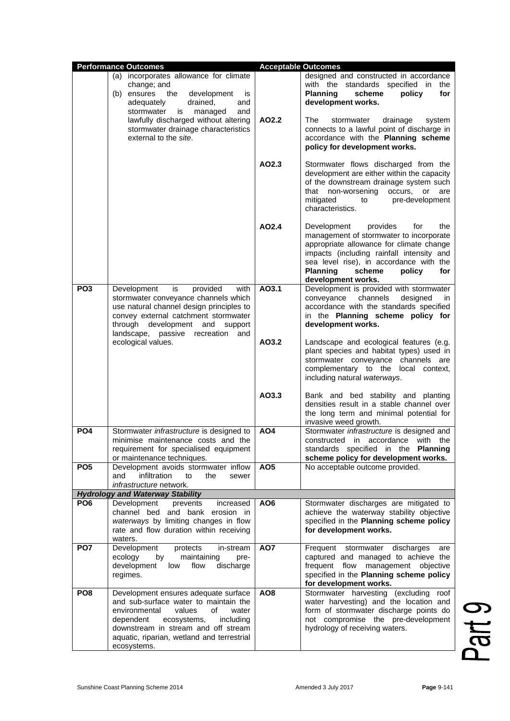|                                                                                                                                                                                                                                                                                 | <b>Performance Outcomes</b>                                                                                                                                                                                                                                          |                                                                                                                                                               | <b>Acceptable Outcomes</b>                                                                                                                                                                                                                                                               |
|---------------------------------------------------------------------------------------------------------------------------------------------------------------------------------------------------------------------------------------------------------------------------------|----------------------------------------------------------------------------------------------------------------------------------------------------------------------------------------------------------------------------------------------------------------------|---------------------------------------------------------------------------------------------------------------------------------------------------------------|------------------------------------------------------------------------------------------------------------------------------------------------------------------------------------------------------------------------------------------------------------------------------------------|
| (a) incorporates allowance for climate<br>change; and<br>the<br>development<br>(b) ensures<br>is<br>drained,<br>adequately<br>and<br>and<br>stormwater<br>is<br>managed<br>lawfully discharged without altering<br>stormwater drainage characteristics<br>external to the site. |                                                                                                                                                                                                                                                                      | designed and constructed in accordance<br>with the standards specified in the<br><b>Planning</b><br>scheme<br>policy<br>for<br>development works.             |                                                                                                                                                                                                                                                                                          |
|                                                                                                                                                                                                                                                                                 | AO2.2                                                                                                                                                                                                                                                                | The<br>stormwater<br>drainage<br>system<br>connects to a lawful point of discharge in<br>accordance with the Planning scheme<br>policy for development works. |                                                                                                                                                                                                                                                                                          |
|                                                                                                                                                                                                                                                                                 |                                                                                                                                                                                                                                                                      | AO2.3                                                                                                                                                         | Stormwater flows discharged from the<br>development are either within the capacity<br>of the downstream drainage system such<br>that<br>non-worsening<br>occurs, or<br>are<br>mitigated<br>pre-development<br>to<br>characteristics.                                                     |
|                                                                                                                                                                                                                                                                                 |                                                                                                                                                                                                                                                                      | AO2.4                                                                                                                                                         | provides<br>Development<br>for<br>the<br>management of stormwater to incorporate<br>appropriate allowance for climate change<br>impacts (including rainfall intensity and<br>sea level rise), in accordance with the<br><b>Planning</b><br>scheme<br>policy<br>for<br>development works. |
| PO <sub>3</sub><br>Development<br>is<br>landscape,<br>passive<br>ecological values.                                                                                                                                                                                             | provided<br>with<br>stormwater conveyance channels which<br>use natural channel design principles to<br>convey external catchment stormwater<br>through development and<br>support<br>recreation<br>and                                                              | AO3.1                                                                                                                                                         | Development is provided with stormwater<br>channels<br>designed<br>conveyance<br>in.<br>accordance with the standards specified<br>in the Planning scheme policy for<br>development works.                                                                                               |
|                                                                                                                                                                                                                                                                                 |                                                                                                                                                                                                                                                                      | AO3.2                                                                                                                                                         | Landscape and ecological features (e.g.<br>plant species and habitat types) used in<br>stormwater conveyance channels are<br>complementary to the local context,<br>including natural waterways.                                                                                         |
|                                                                                                                                                                                                                                                                                 |                                                                                                                                                                                                                                                                      | AO3.3                                                                                                                                                         | Bank and bed stability and planting<br>densities result in a stable channel over<br>the long term and minimal potential for<br>invasive weed growth.                                                                                                                                     |
| PO <sub>4</sub>                                                                                                                                                                                                                                                                 | Stormwater <i>infrastructure</i> is designed to<br>minimise maintenance costs and the<br>requirement for specialised equipment<br>or maintenance techniques.                                                                                                         | AO <sub>4</sub>                                                                                                                                               | Stormwater infrastructure is designed and<br>constructed in accordance with<br>the<br>standards specified in the <b>Planning</b><br>scheme policy for development works.                                                                                                                 |
| PO <sub>5</sub>                                                                                                                                                                                                                                                                 | Development avoids stormwater inflow<br>infiltration<br>the<br>and<br>to<br>sewer<br>infrastructure network.                                                                                                                                                         | AO <sub>5</sub>                                                                                                                                               | No acceptable outcome provided.                                                                                                                                                                                                                                                          |
|                                                                                                                                                                                                                                                                                 | <b>Hydrology and Waterway Stability</b>                                                                                                                                                                                                                              |                                                                                                                                                               |                                                                                                                                                                                                                                                                                          |
| PO <sub>6</sub>                                                                                                                                                                                                                                                                 | Development<br>increased<br>prevents<br>channel bed and bank erosion in<br>waterways by limiting changes in flow<br>rate and flow duration within receiving<br>waters.                                                                                               | AO <sub>6</sub>                                                                                                                                               | Stormwater discharges are mitigated to<br>achieve the waterway stability objective<br>specified in the Planning scheme policy<br>for development works.                                                                                                                                  |
| PO <sub>7</sub>                                                                                                                                                                                                                                                                 | Development<br>protects<br>in-stream<br>ecology<br>by<br>maintaining<br>pre-<br>development<br>flow<br>discharge<br>low<br>regimes.                                                                                                                                  | AO7                                                                                                                                                           | Frequent stormwater<br>discharges<br>are<br>captured and managed to achieve the<br>frequent flow management objective<br>specified in the Planning scheme policy<br>for development works.                                                                                               |
| PO <sub>8</sub>                                                                                                                                                                                                                                                                 | Development ensures adequate surface<br>and sub-surface water to maintain the<br>environmental<br>values<br>οf<br>water<br>dependent<br>ecosystems,<br>including<br>downstream in stream and off stream<br>aquatic, riparian, wetland and terrestrial<br>ecosystems. | AO8                                                                                                                                                           | Stormwater harvesting (excluding roof<br>water harvesting) and the location and<br>form of stormwater discharge points do<br>not compromise the pre-development<br>hydrology of receiving waters.                                                                                        |

Part 9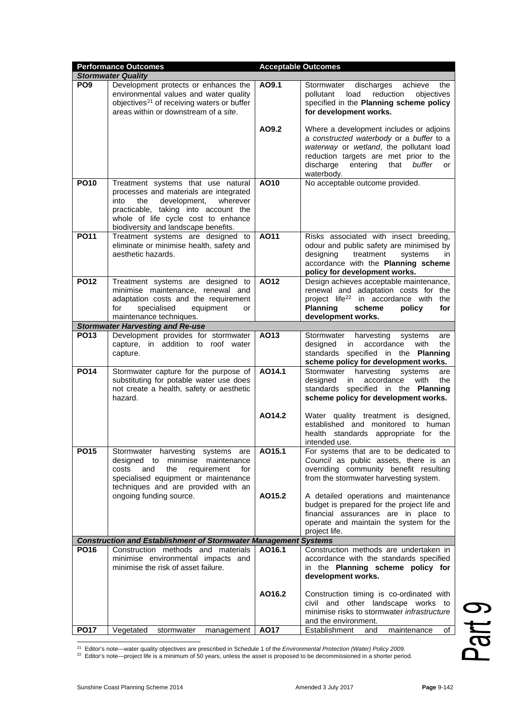|                 | <b>Performance Outcomes</b>                                                                                                                                                                                                                    |        | <b>Acceptable Outcomes</b>                                                                                                                                                                                                              |
|-----------------|------------------------------------------------------------------------------------------------------------------------------------------------------------------------------------------------------------------------------------------------|--------|-----------------------------------------------------------------------------------------------------------------------------------------------------------------------------------------------------------------------------------------|
|                 | <b>Stormwater Quality</b>                                                                                                                                                                                                                      |        |                                                                                                                                                                                                                                         |
| PO <sub>9</sub> | Development protects or enhances the<br>environmental values and water quality<br>objectives <sup>21</sup> of receiving waters or buffer<br>areas within or downstream of a site.                                                              | AO9.1  | Stormwater<br>discharges<br>achieve<br>the<br>objectives<br>pollutant<br>load<br>reduction<br>specified in the Planning scheme policy<br>for development works.                                                                         |
|                 |                                                                                                                                                                                                                                                | AO9.2  | Where a development includes or adjoins<br>a constructed waterbody or a buffer to a<br>waterway or wetland, the pollutant load<br>reduction targets are met prior to the<br>discharge<br>entering<br>that<br>buffer<br>or<br>waterbody. |
| <b>PO10</b>     | Treatment systems that use natural<br>processes and materials are integrated<br>into<br>the<br>development,<br>wherever<br>practicable, taking into account the<br>whole of life cycle cost to enhance<br>biodiversity and landscape benefits. | AO10   | No acceptable outcome provided.                                                                                                                                                                                                         |
| <b>PO11</b>     | Treatment systems are designed to<br>eliminate or minimise health, safety and<br>aesthetic hazards.                                                                                                                                            | A011   | Risks associated with insect breeding,<br>odour and public safety are minimised by<br>treatment<br>designing<br>systems<br>in<br>accordance with the Planning scheme<br>policy for development works.                                   |
| <b>PO12</b>     | Treatment systems are designed to<br>minimise maintenance, renewal and<br>adaptation costs and the requirement<br>specialised<br>for<br>equipment<br>or<br>maintenance techniques.                                                             | AO12   | Design achieves acceptable maintenance,<br>renewal and adaptation costs for the<br>project life <sup>22</sup> in accordance with<br>the<br><b>Planning</b><br>scheme<br>policy<br>for<br>development works.                             |
|                 | <b>Stormwater Harvesting and Re-use</b>                                                                                                                                                                                                        |        |                                                                                                                                                                                                                                         |
| <b>PO13</b>     | Development provides for stormwater                                                                                                                                                                                                            | AO13   | Stormwater<br>harvesting<br>systems<br>are                                                                                                                                                                                              |
|                 | capture, in addition to roof water<br>capture.                                                                                                                                                                                                 |        | designed<br>accordance<br>with<br>the<br>in.<br>standards specified in the Planning<br>scheme policy for development works.                                                                                                             |
| <b>PO14</b>     | Stormwater capture for the purpose of<br>substituting for potable water use does<br>not create a health, safety or aesthetic<br>hazard.                                                                                                        | AO14.1 | Stormwater<br>harvesting<br>systems<br>are<br>designed<br>in<br>accordance<br>with<br>the<br>standards specified in the Planning<br>scheme policy for development works.                                                                |
|                 |                                                                                                                                                                                                                                                | AO14.2 | Water quality treatment is designed,<br>established and monitored to human<br>health standards appropriate for the<br>intended use.                                                                                                     |
| <b>PO15</b>     | Stormwater harvesting systems are<br>designed to minimise maintenance<br>and<br>the<br>requirement<br>costs<br>for<br>specialised equipment or maintenance<br>techniques and are provided with an                                              | AO15.1 | For systems that are to be dedicated to<br>Council as public assets, there is an<br>overriding community benefit resulting<br>from the stormwater harvesting system.                                                                    |
|                 | ongoing funding source.                                                                                                                                                                                                                        | AO15.2 | A detailed operations and maintenance<br>budget is prepared for the project life and<br>financial assurances are in place to<br>operate and maintain the system for the<br>project life.                                                |
|                 | <b>Construction and Establishment of Stormwater Management Systems</b>                                                                                                                                                                         |        |                                                                                                                                                                                                                                         |
| <b>PO16</b>     | Construction methods and materials<br>minimise environmental impacts and<br>minimise the risk of asset failure.                                                                                                                                | AO16.1 | Construction methods are undertaken in<br>accordance with the standards specified<br>in the Planning scheme policy for<br>development works.                                                                                            |
|                 |                                                                                                                                                                                                                                                | AO16.2 | Construction timing is co-ordinated with<br>civil and other landscape works to<br>minimise risks to stormwater infrastructure<br>and the environment.                                                                                   |
| <b>PO17</b>     | Vegetated<br>stormwater<br>management                                                                                                                                                                                                          | A017   | Establishment<br>maintenance<br>and<br>οf                                                                                                                                                                                               |

<span id="page-2-1"></span><span id="page-2-0"></span><sup>21</sup> Editor's note—water quality objectives are prescribed in Schedule 1 of the *Environmental Protection (Water) Policy 2009*.<br><sup>22</sup> Editor's note—project life is a minimum of 50 years, unless the asset is proposed to be d